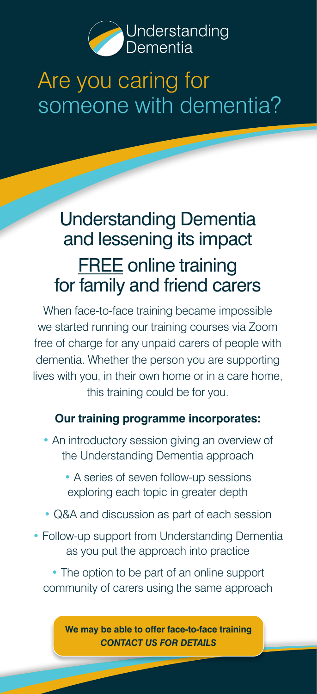

# Are you caring for someone with dementia?

## Understanding Dementia and lessening its impact **FREE** online training for family and friend carers

When face-to-face training became impossible we started running our training courses via Zoom free of charge for any unpaid carers of people with dementia. Whether the person you are supporting lives with you, in their own home or in a care home, this training could be for you.

### **Our training programme incorporates:**

- An introductory session giving an overview of the Understanding Dementia approach
	- A series of seven follow-up sessions exploring each topic in greater depth
- Q&A and discussion as part of each session
- Follow-up support from Understanding Dementia as you put the approach into practice

• The option to be part of an online support community of carers using the same approach

**We may be able to offer face-to-face training** *CONTACT US FOR DETAILS*